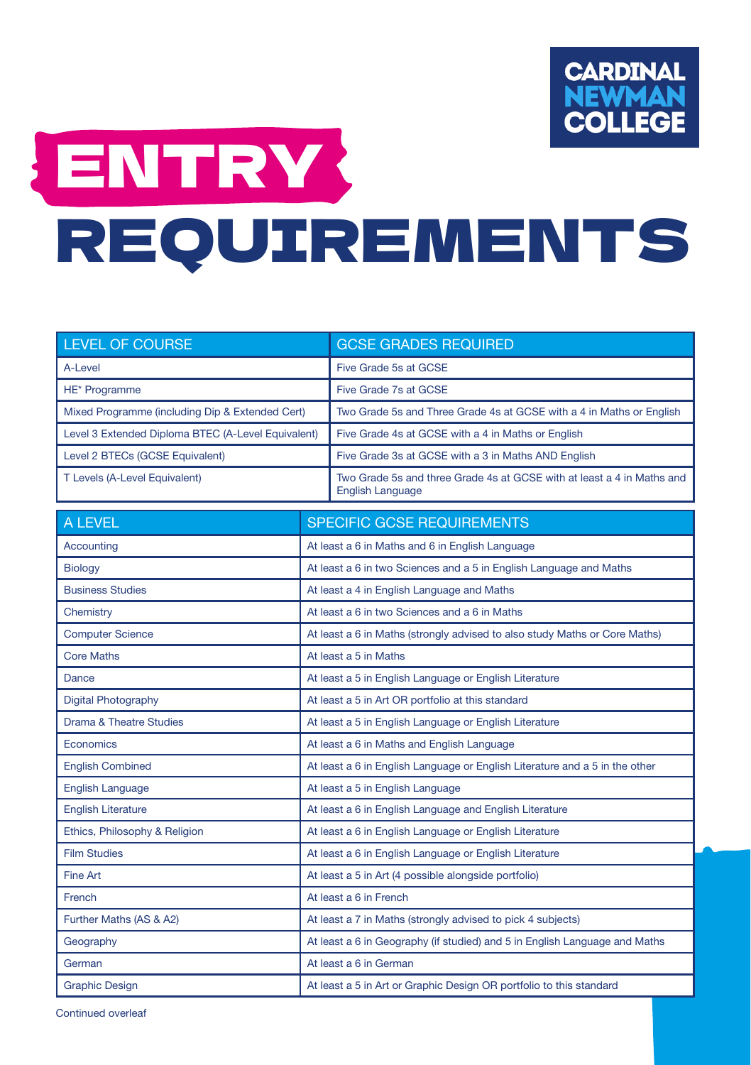

## ENTRY REQUIREMENTS

| <b>LEVEL OF COURSE</b>                             |                                                                            | <b>GCSE GRADES REQUIRED</b>                                                                       |
|----------------------------------------------------|----------------------------------------------------------------------------|---------------------------------------------------------------------------------------------------|
| A-Level                                            |                                                                            | Five Grade 5s at GCSE                                                                             |
| HE* Programme                                      |                                                                            | Five Grade 7s at GCSE                                                                             |
| Mixed Programme (including Dip & Extended Cert)    |                                                                            | Two Grade 5s and Three Grade 4s at GCSE with a 4 in Maths or English                              |
| Level 3 Extended Diploma BTEC (A-Level Equivalent) |                                                                            | Five Grade 4s at GCSE with a 4 in Maths or English                                                |
| Level 2 BTECs (GCSE Equivalent)                    |                                                                            | Five Grade 3s at GCSE with a 3 in Maths AND English                                               |
| T Levels (A-Level Equivalent)                      |                                                                            | Two Grade 5s and three Grade 4s at GCSE with at least a 4 in Maths and<br><b>English Language</b> |
| A LEVEL                                            |                                                                            | <b>SPECIFIC GCSE REQUIREMENTS</b>                                                                 |
| Accounting                                         |                                                                            | At least a 6 in Maths and 6 in English Language                                                   |
| <b>Biology</b>                                     |                                                                            | At least a 6 in two Sciences and a 5 in English Language and Maths                                |
| <b>Business Studies</b>                            | At least a 4 in English Language and Maths                                 |                                                                                                   |
| Chemistry                                          | At least a 6 in two Sciences and a 6 in Maths                              |                                                                                                   |
| <b>Computer Science</b>                            | At least a 6 in Maths (strongly advised to also study Maths or Core Maths) |                                                                                                   |
| <b>Core Maths</b>                                  | At least a 5 in Maths                                                      |                                                                                                   |
| Dance                                              |                                                                            | At least a 5 in English Language or English Literature                                            |
| <b>Digital Photography</b>                         |                                                                            | At least a 5 in Art OR portfolio at this standard                                                 |
| <b>Drama &amp; Theatre Studies</b>                 |                                                                            | At least a 5 in English Language or English Literature                                            |
| Economics                                          |                                                                            | At least a 6 in Maths and English Language                                                        |
| <b>English Combined</b>                            |                                                                            | At least a 6 in English Language or English Literature and a 5 in the other                       |
| <b>English Language</b>                            |                                                                            | At least a 5 in English Language                                                                  |
| <b>English Literature</b>                          |                                                                            | At least a 6 in English Language and English Literature                                           |
| Ethics, Philosophy & Religion                      |                                                                            | At least a 6 in English Language or English Literature                                            |
| <b>Film Studies</b>                                |                                                                            | At least a 6 in English Language or English Literature                                            |
| <b>Fine Art</b>                                    |                                                                            | At least a 5 in Art (4 possible alongside portfolio)                                              |
| French                                             | At least a 6 in French                                                     |                                                                                                   |
| Further Maths (AS & A2)                            |                                                                            | At least a 7 in Maths (strongly advised to pick 4 subjects)                                       |
| Geography                                          | At least a 6 in Geography (if studied) and 5 in English Language and Maths |                                                                                                   |
| German                                             | At least a 6 in German                                                     |                                                                                                   |
| <b>Graphic Design</b>                              |                                                                            | At least a 5 in Art or Graphic Design OR portfolio to this standard                               |

Continued overleaf